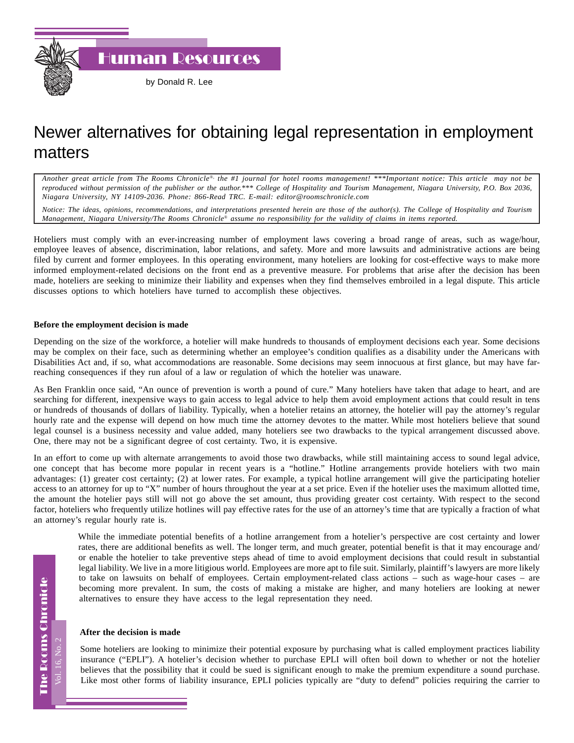Human Resources

## Newer alternatives for obtaining legal representation in employment matters

*Another great article from The Rooms Chronicle*®*, the #1 journal for hotel rooms management! \*\*\*Important notice: This article may not be reproduced without permission of the publisher or the author.\*\*\* College of Hospitality and Tourism Management, Niagara University, P.O. Box 2036, Niagara University, NY 14109-2036. Phone: 866-Read TRC. E-mail: editor@roomschronicle.com*

*Notice: The ideas, opinions, recommendations, and interpretations presented herein are those of the author(s). The College of Hospitality and Tourism Management, Niagara University/The Rooms Chronicle*® *assume no responsibility for the validity of claims in items reported.*

Hoteliers must comply with an ever-increasing number of employment laws covering a broad range of areas, such as wage/hour, employee leaves of absence, discrimination, labor relations, and safety. More and more lawsuits and administrative actions are being filed by current and former employees. In this operating environment, many hoteliers are looking for cost-effective ways to make more informed employment-related decisions on the front end as a preventive measure. For problems that arise after the decision has been made, hoteliers are seeking to minimize their liability and expenses when they find themselves embroiled in a legal dispute. This article discusses options to which hoteliers have turned to accomplish these objectives.

## **Before the employment decision is made**

Depending on the size of the workforce, a hotelier will make hundreds to thousands of employment decisions each year. Some decisions may be complex on their face, such as determining whether an employee's condition qualifies as a disability under the Americans with Disabilities Act and, if so, what accommodations are reasonable. Some decisions may seem innocuous at first glance, but may have farreaching consequences if they run afoul of a law or regulation of which the hotelier was unaware.

As Ben Franklin once said, "An ounce of prevention is worth a pound of cure." Many hoteliers have taken that adage to heart, and are searching for different, inexpensive ways to gain access to legal advice to help them avoid employment actions that could result in tens or hundreds of thousands of dollars of liability. Typically, when a hotelier retains an attorney, the hotelier will pay the attorney's regular hourly rate and the expense will depend on how much time the attorney devotes to the matter. While most hoteliers believe that sound legal counsel is a business necessity and value added, many hoteliers see two drawbacks to the typical arrangement discussed above. One, there may not be a significant degree of cost certainty. Two, it is expensive.

In an effort to come up with alternate arrangements to avoid those two drawbacks, while still maintaining access to sound legal advice, one concept that has become more popular in recent years is a "hotline." Hotline arrangements provide hoteliers with two main advantages: (1) greater cost certainty; (2) at lower rates. For example, a typical hotline arrangement will give the participating hotelier access to an attorney for up to "X" number of hours throughout the year at a set price. Even if the hotelier uses the maximum allotted time, the amount the hotelier pays still will not go above the set amount, thus providing greater cost certainty. With respect to the second factor, hoteliers who frequently utilize hotlines will pay effective rates for the use of an attorney's time that are typically a fraction of what an attorney's regular hourly rate is.

While the immediate potential benefits of a hotline arrangement from a hotelier's perspective are cost certainty and lower rates, there are additional benefits as well. The longer term, and much greater, potential benefit is that it may encourage and/ or enable the hotelier to take preventive steps ahead of time to avoid employment decisions that could result in substantial legal liability. We live in a more litigious world. Employees are more apt to file suit. Similarly, plaintiff's lawyers are more likely to take on lawsuits on behalf of employees. Certain employment-related class actions – such as wage-hour cases – are becoming more prevalent. In sum, the costs of making a mistake are higher, and many hoteliers are looking at newer alternatives to ensure they have access to the legal representation they need.

## **After the decision is made**

Some hoteliers are looking to minimize their potential exposure by purchasing what is called employment practices liability insurance ("EPLI"). A hotelier's decision whether to purchase EPLI will often boil down to whether or not the hotelier believes that the possibility that it could be sued is significant enough to make the premium expenditure a sound purchase. Like most other forms of liability insurance, EPLI policies typically are "duty to defend" policies requiring the carrier to

**The Rooms Chronicle** The Rooms Chronicle Vol. 16, No.

Vol. 16, No. 2